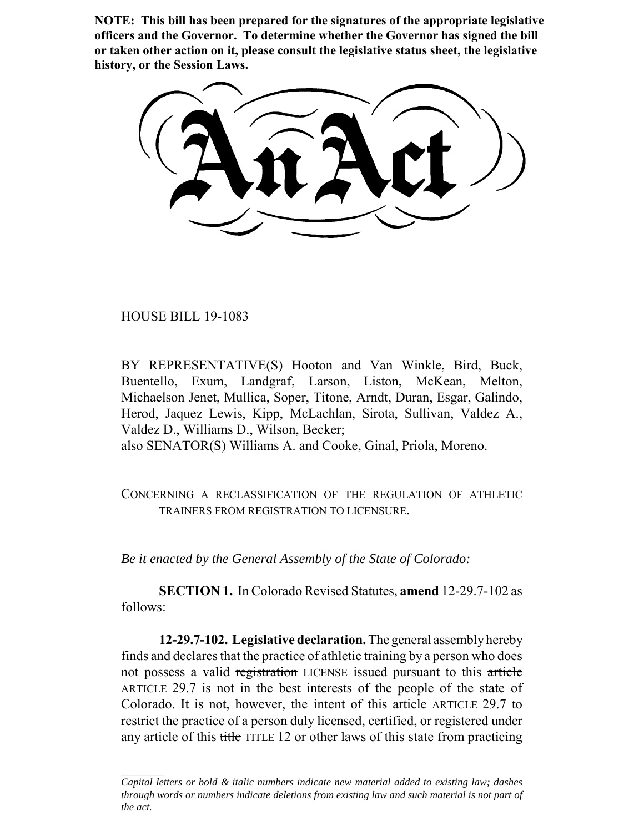**NOTE: This bill has been prepared for the signatures of the appropriate legislative officers and the Governor. To determine whether the Governor has signed the bill or taken other action on it, please consult the legislative status sheet, the legislative history, or the Session Laws.**

HOUSE BILL 19-1083

BY REPRESENTATIVE(S) Hooton and Van Winkle, Bird, Buck, Buentello, Exum, Landgraf, Larson, Liston, McKean, Melton, Michaelson Jenet, Mullica, Soper, Titone, Arndt, Duran, Esgar, Galindo, Herod, Jaquez Lewis, Kipp, McLachlan, Sirota, Sullivan, Valdez A., Valdez D., Williams D., Wilson, Becker; also SENATOR(S) Williams A. and Cooke, Ginal, Priola, Moreno.

CONCERNING A RECLASSIFICATION OF THE REGULATION OF ATHLETIC TRAINERS FROM REGISTRATION TO LICENSURE.

*Be it enacted by the General Assembly of the State of Colorado:*

**SECTION 1.** In Colorado Revised Statutes, **amend** 12-29.7-102 as follows:

**12-29.7-102. Legislative declaration.** The general assembly hereby finds and declares that the practice of athletic training by a person who does not possess a valid registration LICENSE issued pursuant to this article ARTICLE 29.7 is not in the best interests of the people of the state of Colorado. It is not, however, the intent of this article ARTICLE 29.7 to restrict the practice of a person duly licensed, certified, or registered under any article of this title TITLE 12 or other laws of this state from practicing

*Capital letters or bold & italic numbers indicate new material added to existing law; dashes through words or numbers indicate deletions from existing law and such material is not part of the act.*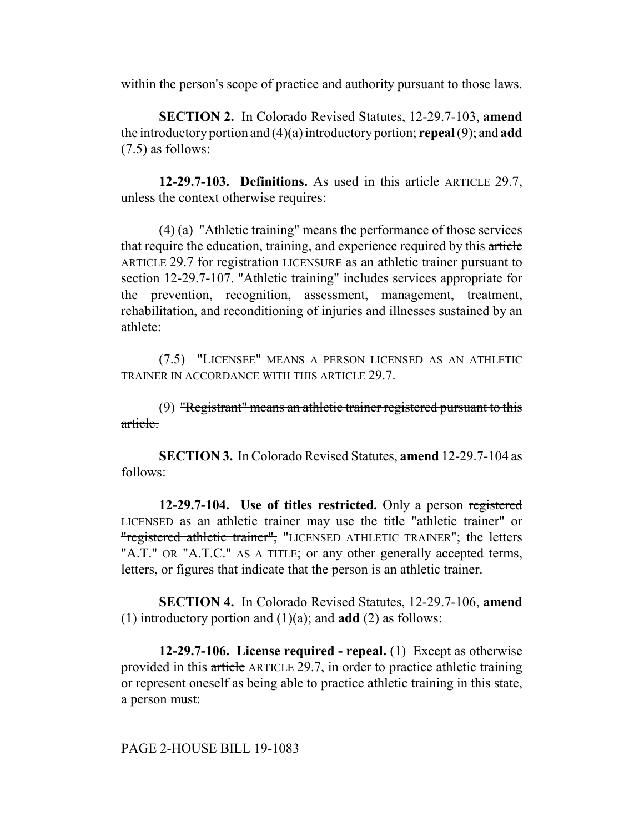within the person's scope of practice and authority pursuant to those laws.

**SECTION 2.** In Colorado Revised Statutes, 12-29.7-103, **amend** the introductory portion and (4)(a) introductory portion; **repeal** (9); and **add** (7.5) as follows:

**12-29.7-103. Definitions.** As used in this article ARTICLE 29.7, unless the context otherwise requires:

(4) (a) "Athletic training" means the performance of those services that require the education, training, and experience required by this article ARTICLE 29.7 for registration LICENSURE as an athletic trainer pursuant to section 12-29.7-107. "Athletic training" includes services appropriate for the prevention, recognition, assessment, management, treatment, rehabilitation, and reconditioning of injuries and illnesses sustained by an athlete:

(7.5) "LICENSEE" MEANS A PERSON LICENSED AS AN ATHLETIC TRAINER IN ACCORDANCE WITH THIS ARTICLE 29.7.

(9) "Registrant" means an athletic trainer registered pursuant to this article.

**SECTION 3.** In Colorado Revised Statutes, **amend** 12-29.7-104 as follows:

**12-29.7-104. Use of titles restricted.** Only a person registered LICENSED as an athletic trainer may use the title "athletic trainer" or "registered athletic trainer", "LICENSED ATHLETIC TRAINER"; the letters "A.T." OR "A.T.C." AS A TITLE; or any other generally accepted terms, letters, or figures that indicate that the person is an athletic trainer.

**SECTION 4.** In Colorado Revised Statutes, 12-29.7-106, **amend** (1) introductory portion and (1)(a); and **add** (2) as follows:

**12-29.7-106. License required - repeal.** (1) Except as otherwise provided in this article ARTICLE 29.7, in order to practice athletic training or represent oneself as being able to practice athletic training in this state, a person must:

PAGE 2-HOUSE BILL 19-1083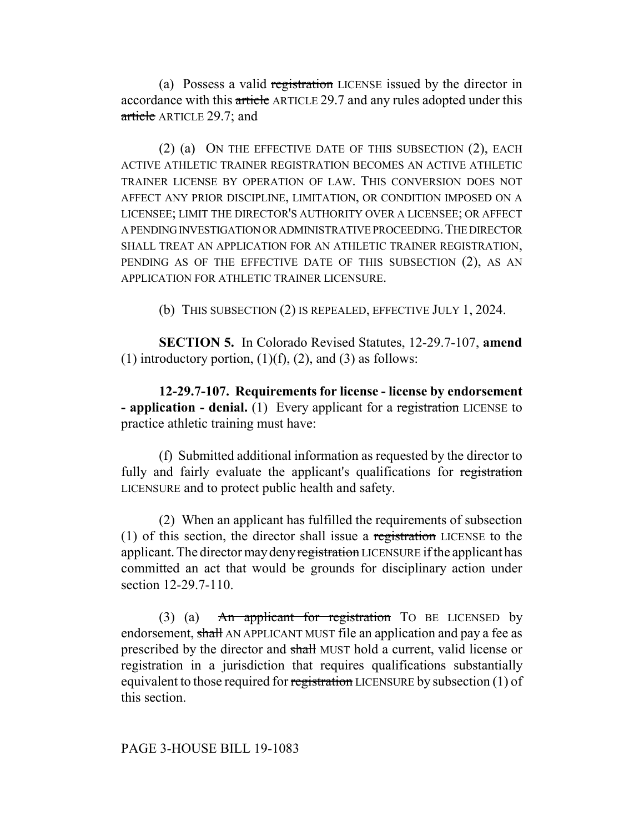(a) Possess a valid registration LICENSE issued by the director in accordance with this article ARTICLE 29.7 and any rules adopted under this article ARTICLE 29.7; and

(2) (a) ON THE EFFECTIVE DATE OF THIS SUBSECTION (2), EACH ACTIVE ATHLETIC TRAINER REGISTRATION BECOMES AN ACTIVE ATHLETIC TRAINER LICENSE BY OPERATION OF LAW. THIS CONVERSION DOES NOT AFFECT ANY PRIOR DISCIPLINE, LIMITATION, OR CONDITION IMPOSED ON A LICENSEE; LIMIT THE DIRECTOR'S AUTHORITY OVER A LICENSEE; OR AFFECT A PENDING INVESTIGATION OR ADMINISTRATIVE PROCEEDING.THE DIRECTOR SHALL TREAT AN APPLICATION FOR AN ATHLETIC TRAINER REGISTRATION, PENDING AS OF THE EFFECTIVE DATE OF THIS SUBSECTION (2), AS AN APPLICATION FOR ATHLETIC TRAINER LICENSURE.

(b) THIS SUBSECTION (2) IS REPEALED, EFFECTIVE JULY 1, 2024.

**SECTION 5.** In Colorado Revised Statutes, 12-29.7-107, **amend** (1) introductory portion,  $(1)(f)$ ,  $(2)$ , and  $(3)$  as follows:

**12-29.7-107. Requirements for license - license by endorsement - application - denial.** (1) Every applicant for a registration LICENSE to practice athletic training must have:

(f) Submitted additional information as requested by the director to fully and fairly evaluate the applicant's qualifications for registration LICENSURE and to protect public health and safety.

(2) When an applicant has fulfilled the requirements of subsection (1) of this section, the director shall issue a registration LICENSE to the applicant. The director may deny registration LICENSURE if the applicant has committed an act that would be grounds for disciplinary action under section 12-29.7-110.

(3) (a) An applicant for registration TO BE LICENSED by endorsement, shall AN APPLICANT MUST file an application and pay a fee as prescribed by the director and shall MUST hold a current, valid license or registration in a jurisdiction that requires qualifications substantially equivalent to those required for registration LICENSURE by subsection (1) of this section.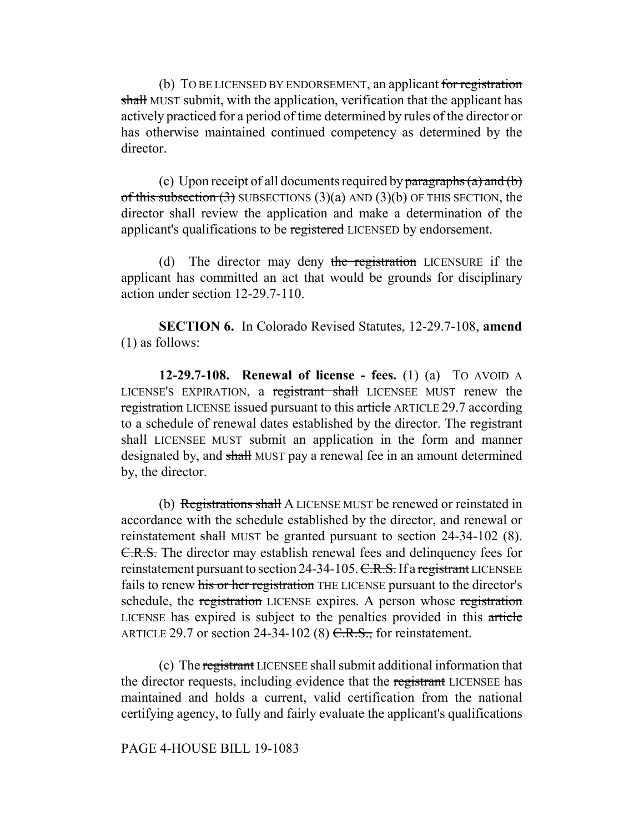(b) TO BE LICENSED BY ENDORSEMENT, an applicant for registration shall MUST submit, with the application, verification that the applicant has actively practiced for a period of time determined by rules of the director or has otherwise maintained continued competency as determined by the director.

(c) Upon receipt of all documents required by  $\frac{\partial^2 f}{\partial x \partial y}$  and  $\frac{\partial^2 f}{\partial x \partial x}$ of this subsection  $(3)$  SUBSECTIONS  $(3)(a)$  AND  $(3)(b)$  OF THIS SECTION, the director shall review the application and make a determination of the applicant's qualifications to be registered LICENSED by endorsement.

(d) The director may deny the registration LICENSURE if the applicant has committed an act that would be grounds for disciplinary action under section 12-29.7-110.

**SECTION 6.** In Colorado Revised Statutes, 12-29.7-108, **amend** (1) as follows:

**12-29.7-108. Renewal of license - fees.** (1) (a) TO AVOID A LICENSE'S EXPIRATION, a registrant shall LICENSEE MUST renew the registration LICENSE issued pursuant to this article ARTICLE 29.7 according to a schedule of renewal dates established by the director. The registrant shall LICENSEE MUST submit an application in the form and manner designated by, and shall MUST pay a renewal fee in an amount determined by, the director.

(b) Registrations shall A LICENSE MUST be renewed or reinstated in accordance with the schedule established by the director, and renewal or reinstatement shall MUST be granted pursuant to section 24-34-102 (8). C.R.S. The director may establish renewal fees and delinquency fees for reinstatement pursuant to section 24-34-105. C.R.S. If a registrant LICENSEE fails to renew his or her registration THE LICENSE pursuant to the director's schedule, the registration LICENSE expires. A person whose registration LICENSE has expired is subject to the penalties provided in this article ARTICLE 29.7 or section 24-34-102 (8)  $C.R.S.,$  for reinstatement.

(c) The registrant LICENSEE shall submit additional information that the director requests, including evidence that the registrant LICENSEE has maintained and holds a current, valid certification from the national certifying agency, to fully and fairly evaluate the applicant's qualifications

### PAGE 4-HOUSE BILL 19-1083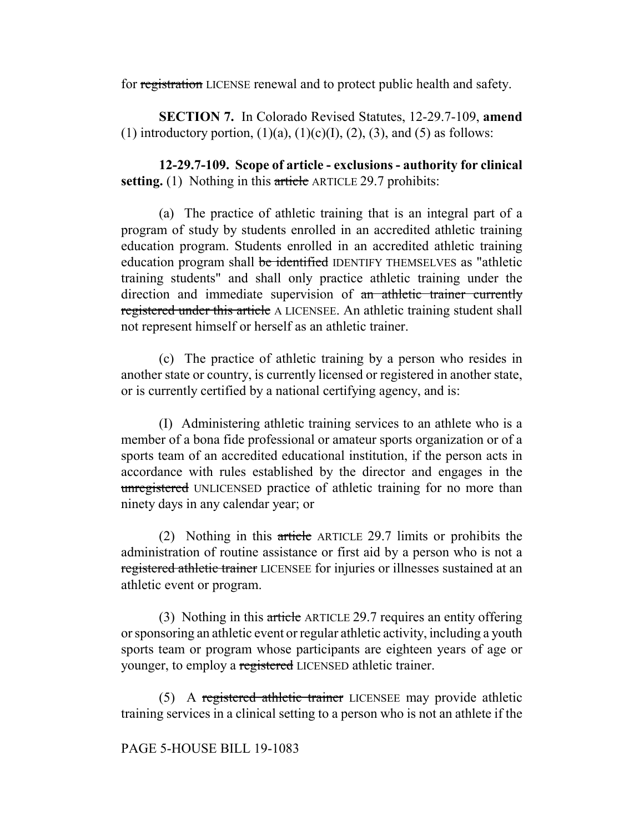for registration LICENSE renewal and to protect public health and safety.

**SECTION 7.** In Colorado Revised Statutes, 12-29.7-109, **amend** (1) introductory portion,  $(1)(a)$ ,  $(1)(c)(I)$ ,  $(2)$ ,  $(3)$ , and  $(5)$  as follows:

**12-29.7-109. Scope of article - exclusions - authority for clinical setting.** (1) Nothing in this article ARTICLE 29.7 prohibits:

(a) The practice of athletic training that is an integral part of a program of study by students enrolled in an accredited athletic training education program. Students enrolled in an accredited athletic training education program shall be identified IDENTIFY THEMSELVES as "athletic training students" and shall only practice athletic training under the direction and immediate supervision of an athletic trainer currently registered under this article A LICENSEE. An athletic training student shall not represent himself or herself as an athletic trainer.

(c) The practice of athletic training by a person who resides in another state or country, is currently licensed or registered in another state, or is currently certified by a national certifying agency, and is:

(I) Administering athletic training services to an athlete who is a member of a bona fide professional or amateur sports organization or of a sports team of an accredited educational institution, if the person acts in accordance with rules established by the director and engages in the unregistered UNLICENSED practice of athletic training for no more than ninety days in any calendar year; or

(2) Nothing in this article ARTICLE 29.7 limits or prohibits the administration of routine assistance or first aid by a person who is not a registered athletic trainer LICENSEE for injuries or illnesses sustained at an athletic event or program.

(3) Nothing in this article ARTICLE 29.7 requires an entity offering or sponsoring an athletic event or regular athletic activity, including a youth sports team or program whose participants are eighteen years of age or younger, to employ a registered LICENSED athletic trainer.

(5) A registered athletic trainer LICENSEE may provide athletic training services in a clinical setting to a person who is not an athlete if the

# PAGE 5-HOUSE BILL 19-1083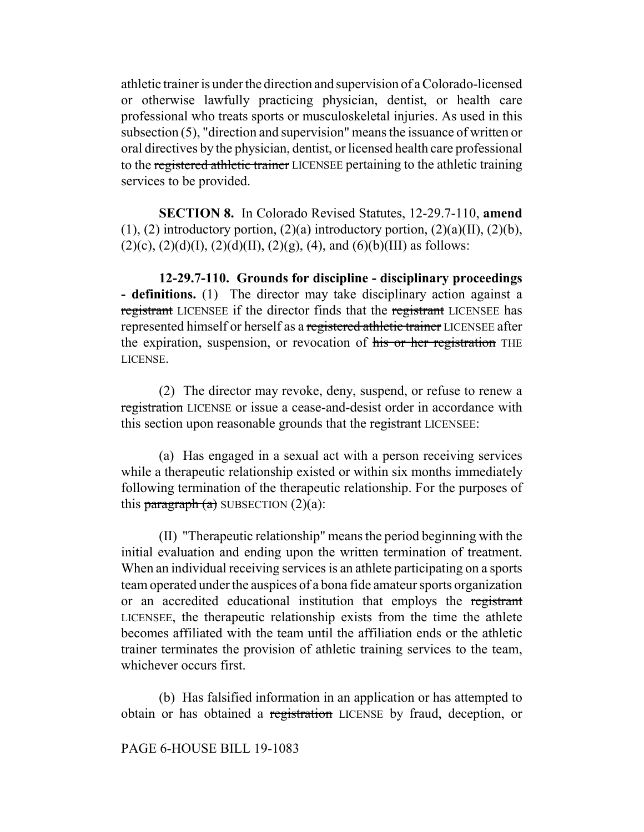athletic trainer is under the direction and supervision of a Colorado-licensed or otherwise lawfully practicing physician, dentist, or health care professional who treats sports or musculoskeletal injuries. As used in this subsection (5), "direction and supervision" means the issuance of written or oral directives by the physician, dentist, or licensed health care professional to the registered athletic trainer LICENSEE pertaining to the athletic training services to be provided.

**SECTION 8.** In Colorado Revised Statutes, 12-29.7-110, **amend**  $(1)$ ,  $(2)$  introductory portion,  $(2)(a)$  introductory portion,  $(2)(a)(II)$ ,  $(2)(b)$ ,  $(2)(c)$ ,  $(2)(d)(I)$ ,  $(2)(d)(II)$ ,  $(2)(g)$ ,  $(4)$ , and  $(6)(b)(III)$  as follows:

**12-29.7-110. Grounds for discipline - disciplinary proceedings - definitions.** (1) The director may take disciplinary action against a registrant LICENSEE if the director finds that the registrant LICENSEE has represented himself or herself as a registered athletic trainer LICENSEE after the expiration, suspension, or revocation of his or her registration THE LICENSE.

(2) The director may revoke, deny, suspend, or refuse to renew a registration LICENSE or issue a cease-and-desist order in accordance with this section upon reasonable grounds that the registrant LICENSEE:

(a) Has engaged in a sexual act with a person receiving services while a therapeutic relationship existed or within six months immediately following termination of the therapeutic relationship. For the purposes of this paragraph  $(a)$  SUBSECTION  $(2)(a)$ :

(II) "Therapeutic relationship" means the period beginning with the initial evaluation and ending upon the written termination of treatment. When an individual receiving services is an athlete participating on a sports team operated under the auspices of a bona fide amateur sports organization or an accredited educational institution that employs the registrant LICENSEE, the therapeutic relationship exists from the time the athlete becomes affiliated with the team until the affiliation ends or the athletic trainer terminates the provision of athletic training services to the team, whichever occurs first.

(b) Has falsified information in an application or has attempted to obtain or has obtained a registration LICENSE by fraud, deception, or

PAGE 6-HOUSE BILL 19-1083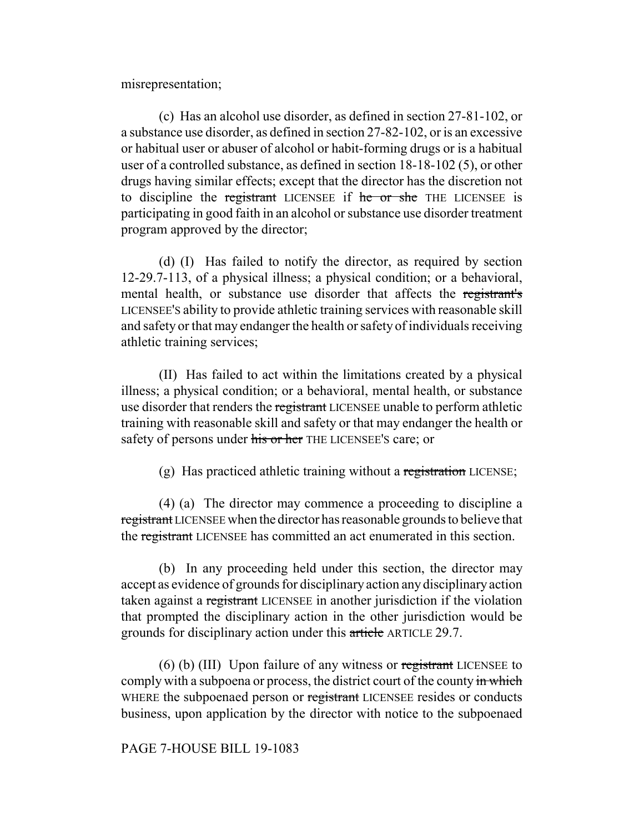misrepresentation;

(c) Has an alcohol use disorder, as defined in section 27-81-102, or a substance use disorder, as defined in section 27-82-102, or is an excessive or habitual user or abuser of alcohol or habit-forming drugs or is a habitual user of a controlled substance, as defined in section 18-18-102 (5), or other drugs having similar effects; except that the director has the discretion not to discipline the registrant LICENSEE if he or she THE LICENSEE is participating in good faith in an alcohol or substance use disorder treatment program approved by the director;

(d) (I) Has failed to notify the director, as required by section 12-29.7-113, of a physical illness; a physical condition; or a behavioral, mental health, or substance use disorder that affects the registrant's LICENSEE'S ability to provide athletic training services with reasonable skill and safety or that may endanger the health or safety of individuals receiving athletic training services;

(II) Has failed to act within the limitations created by a physical illness; a physical condition; or a behavioral, mental health, or substance use disorder that renders the registrant LICENSEE unable to perform athletic training with reasonable skill and safety or that may endanger the health or safety of persons under his or her THE LICENSEE's care; or

(g) Has practiced athletic training without a registration LICENSE;

(4) (a) The director may commence a proceeding to discipline a registrant LICENSEE when the director has reasonable grounds to believe that the registrant LICENSEE has committed an act enumerated in this section.

(b) In any proceeding held under this section, the director may accept as evidence of grounds for disciplinary action any disciplinary action taken against a registrant LICENSEE in another jurisdiction if the violation that prompted the disciplinary action in the other jurisdiction would be grounds for disciplinary action under this article ARTICLE 29.7.

(6) (b) (III) Upon failure of any witness or registrant LICENSEE to comply with a subpoena or process, the district court of the county in which WHERE the subpoenaed person or registrant LICENSEE resides or conducts business, upon application by the director with notice to the subpoenaed

### PAGE 7-HOUSE BILL 19-1083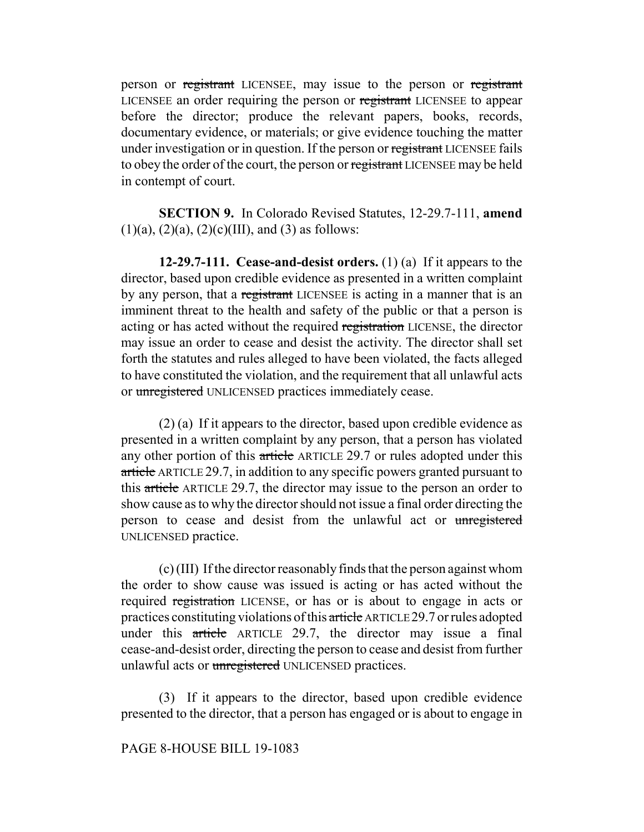person or registrant LICENSEE, may issue to the person or registrant LICENSEE an order requiring the person or registrant LICENSEE to appear before the director; produce the relevant papers, books, records, documentary evidence, or materials; or give evidence touching the matter under investigation or in question. If the person or registrant LICENSEE fails to obey the order of the court, the person or registrant LICENSEE may be held in contempt of court.

**SECTION 9.** In Colorado Revised Statutes, 12-29.7-111, **amend**  $(1)(a)$ ,  $(2)(a)$ ,  $(2)(c)(III)$ , and  $(3)$  as follows:

**12-29.7-111. Cease-and-desist orders.** (1) (a) If it appears to the director, based upon credible evidence as presented in a written complaint by any person, that a registrant LICENSEE is acting in a manner that is an imminent threat to the health and safety of the public or that a person is acting or has acted without the required registration LICENSE, the director may issue an order to cease and desist the activity. The director shall set forth the statutes and rules alleged to have been violated, the facts alleged to have constituted the violation, and the requirement that all unlawful acts or unregistered UNLICENSED practices immediately cease.

(2) (a) If it appears to the director, based upon credible evidence as presented in a written complaint by any person, that a person has violated any other portion of this article ARTICLE 29.7 or rules adopted under this article ARTICLE 29.7, in addition to any specific powers granted pursuant to this article ARTICLE 29.7, the director may issue to the person an order to show cause as to why the director should not issue a final order directing the person to cease and desist from the unlawful act or unregistered UNLICENSED practice.

(c) (III) If the director reasonably finds that the person against whom the order to show cause was issued is acting or has acted without the required registration LICENSE, or has or is about to engage in acts or practices constituting violations of this article ARTICLE 29.7 or rules adopted under this article ARTICLE 29.7, the director may issue a final cease-and-desist order, directing the person to cease and desist from further unlawful acts or unregistered UNLICENSED practices.

(3) If it appears to the director, based upon credible evidence presented to the director, that a person has engaged or is about to engage in

## PAGE 8-HOUSE BILL 19-1083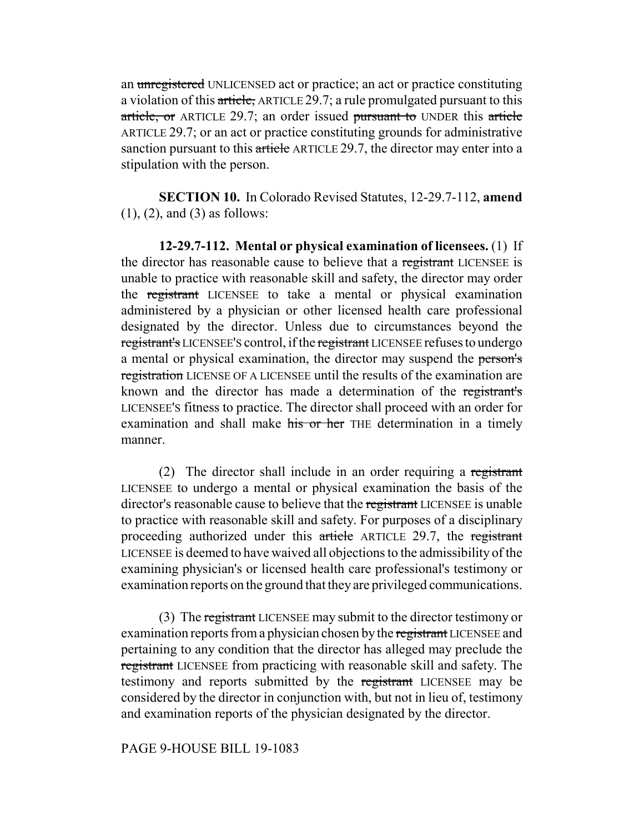an unregistered UNLICENSED act or practice; an act or practice constituting a violation of this article, ARTICLE 29.7; a rule promulgated pursuant to this article, or ARTICLE 29.7; an order issued pursuant to UNDER this article ARTICLE 29.7; or an act or practice constituting grounds for administrative sanction pursuant to this article ARTICLE 29.7, the director may enter into a stipulation with the person.

**SECTION 10.** In Colorado Revised Statutes, 12-29.7-112, **amend** (1), (2), and (3) as follows:

**12-29.7-112. Mental or physical examination of licensees.** (1) If the director has reasonable cause to believe that a registrant LICENSEE is unable to practice with reasonable skill and safety, the director may order the registrant LICENSEE to take a mental or physical examination administered by a physician or other licensed health care professional designated by the director. Unless due to circumstances beyond the registrant's LICENSEE'S control, if the registrant LICENSEE refuses to undergo a mental or physical examination, the director may suspend the person's registration LICENSE OF A LICENSEE until the results of the examination are known and the director has made a determination of the registrant's LICENSEE'S fitness to practice. The director shall proceed with an order for examination and shall make his or her THE determination in a timely manner.

(2) The director shall include in an order requiring a registrant LICENSEE to undergo a mental or physical examination the basis of the director's reasonable cause to believe that the registrant LICENSEE is unable to practice with reasonable skill and safety. For purposes of a disciplinary proceeding authorized under this article ARTICLE 29.7, the registrant LICENSEE is deemed to have waived all objections to the admissibility of the examining physician's or licensed health care professional's testimony or examination reports on the ground that they are privileged communications.

(3) The registrant LICENSEE may submit to the director testimony or examination reports from a physician chosen by the registrant LICENSEE and pertaining to any condition that the director has alleged may preclude the registrant LICENSEE from practicing with reasonable skill and safety. The testimony and reports submitted by the registrant LICENSEE may be considered by the director in conjunction with, but not in lieu of, testimony and examination reports of the physician designated by the director.

### PAGE 9-HOUSE BILL 19-1083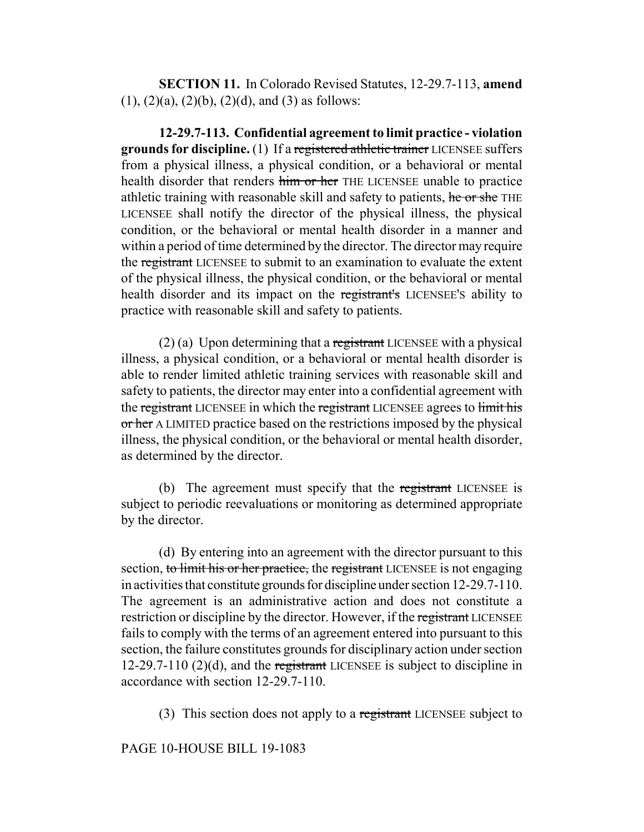**SECTION 11.** In Colorado Revised Statutes, 12-29.7-113, **amend**  $(1)$ ,  $(2)(a)$ ,  $(2)(b)$ ,  $(2)(d)$ , and  $(3)$  as follows:

**12-29.7-113. Confidential agreement to limit practice - violation grounds for discipline.** (1) If a registered athletic trainer LICENSEE suffers from a physical illness, a physical condition, or a behavioral or mental health disorder that renders him or her THE LICENSEE unable to practice athletic training with reasonable skill and safety to patients, he or she THE LICENSEE shall notify the director of the physical illness, the physical condition, or the behavioral or mental health disorder in a manner and within a period of time determined by the director. The director may require the registrant LICENSEE to submit to an examination to evaluate the extent of the physical illness, the physical condition, or the behavioral or mental health disorder and its impact on the registrant's LICENSEE'S ability to practice with reasonable skill and safety to patients.

(2) (a) Upon determining that a registrant LICENSEE with a physical illness, a physical condition, or a behavioral or mental health disorder is able to render limited athletic training services with reasonable skill and safety to patients, the director may enter into a confidential agreement with the registrant LICENSEE in which the registrant LICENSEE agrees to limit his or her A LIMITED practice based on the restrictions imposed by the physical illness, the physical condition, or the behavioral or mental health disorder, as determined by the director.

(b) The agreement must specify that the registrant LICENSEE is subject to periodic reevaluations or monitoring as determined appropriate by the director.

(d) By entering into an agreement with the director pursuant to this section, to limit his or her practice, the registrant LICENSEE is not engaging in activities that constitute grounds for discipline under section 12-29.7-110. The agreement is an administrative action and does not constitute a restriction or discipline by the director. However, if the registrant LICENSEE fails to comply with the terms of an agreement entered into pursuant to this section, the failure constitutes grounds for disciplinary action under section 12-29.7-110 (2)(d), and the registrant LICENSEE is subject to discipline in accordance with section 12-29.7-110.

(3) This section does not apply to a registrant LICENSEE subject to

### PAGE 10-HOUSE BILL 19-1083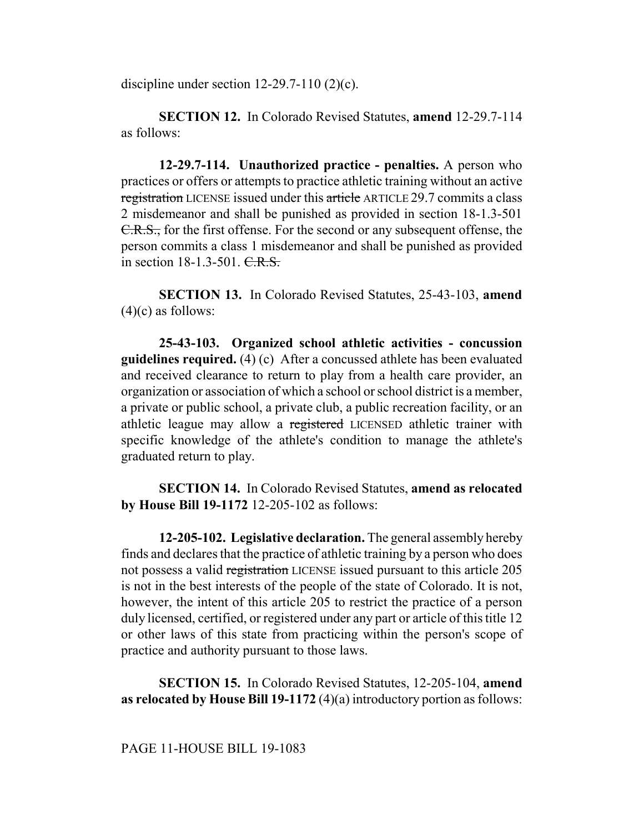discipline under section 12-29.7-110 (2)(c).

**SECTION 12.** In Colorado Revised Statutes, **amend** 12-29.7-114 as follows:

**12-29.7-114. Unauthorized practice - penalties.** A person who practices or offers or attempts to practice athletic training without an active registration LICENSE issued under this article ARTICLE 29.7 commits a class 2 misdemeanor and shall be punished as provided in section 18-1.3-501 C.R.S., for the first offense. For the second or any subsequent offense, the person commits a class 1 misdemeanor and shall be punished as provided in section 18-1.3-501. C.R.S.

**SECTION 13.** In Colorado Revised Statutes, 25-43-103, **amend**  $(4)(c)$  as follows:

**25-43-103. Organized school athletic activities - concussion guidelines required.** (4) (c) After a concussed athlete has been evaluated and received clearance to return to play from a health care provider, an organization or association of which a school or school district is a member, a private or public school, a private club, a public recreation facility, or an athletic league may allow a registered LICENSED athletic trainer with specific knowledge of the athlete's condition to manage the athlete's graduated return to play.

**SECTION 14.** In Colorado Revised Statutes, **amend as relocated by House Bill 19-1172** 12-205-102 as follows:

**12-205-102. Legislative declaration.** The general assembly hereby finds and declares that the practice of athletic training by a person who does not possess a valid registration LICENSE issued pursuant to this article 205 is not in the best interests of the people of the state of Colorado. It is not, however, the intent of this article 205 to restrict the practice of a person duly licensed, certified, or registered under any part or article of this title 12 or other laws of this state from practicing within the person's scope of practice and authority pursuant to those laws.

**SECTION 15.** In Colorado Revised Statutes, 12-205-104, **amend as relocated by House Bill 19-1172** (4)(a) introductory portion as follows: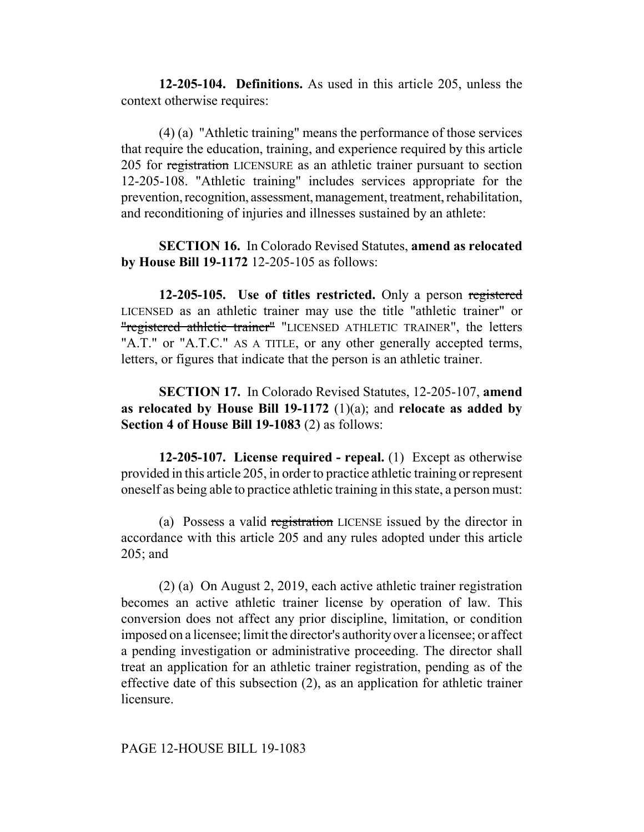**12-205-104. Definitions.** As used in this article 205, unless the context otherwise requires:

(4) (a) "Athletic training" means the performance of those services that require the education, training, and experience required by this article 205 for registration LICENSURE as an athletic trainer pursuant to section 12-205-108. "Athletic training" includes services appropriate for the prevention, recognition, assessment, management, treatment, rehabilitation, and reconditioning of injuries and illnesses sustained by an athlete:

**SECTION 16.** In Colorado Revised Statutes, **amend as relocated by House Bill 19-1172** 12-205-105 as follows:

**12-205-105. Use of titles restricted.** Only a person registered LICENSED as an athletic trainer may use the title "athletic trainer" or "registered athletic trainer" "LICENSED ATHLETIC TRAINER", the letters "A.T." or "A.T.C." AS A TITLE, or any other generally accepted terms, letters, or figures that indicate that the person is an athletic trainer.

**SECTION 17.** In Colorado Revised Statutes, 12-205-107, **amend as relocated by House Bill 19-1172** (1)(a); and **relocate as added by Section 4 of House Bill 19-1083** (2) as follows:

**12-205-107. License required - repeal.** (1) Except as otherwise provided in this article 205, in order to practice athletic training or represent oneself as being able to practice athletic training in this state, a person must:

(a) Possess a valid registration LICENSE issued by the director in accordance with this article 205 and any rules adopted under this article 205; and

(2) (a) On August 2, 2019, each active athletic trainer registration becomes an active athletic trainer license by operation of law. This conversion does not affect any prior discipline, limitation, or condition imposed on a licensee; limit the director's authority over a licensee; or affect a pending investigation or administrative proceeding. The director shall treat an application for an athletic trainer registration, pending as of the effective date of this subsection (2), as an application for athletic trainer licensure.

### PAGE 12-HOUSE BILL 19-1083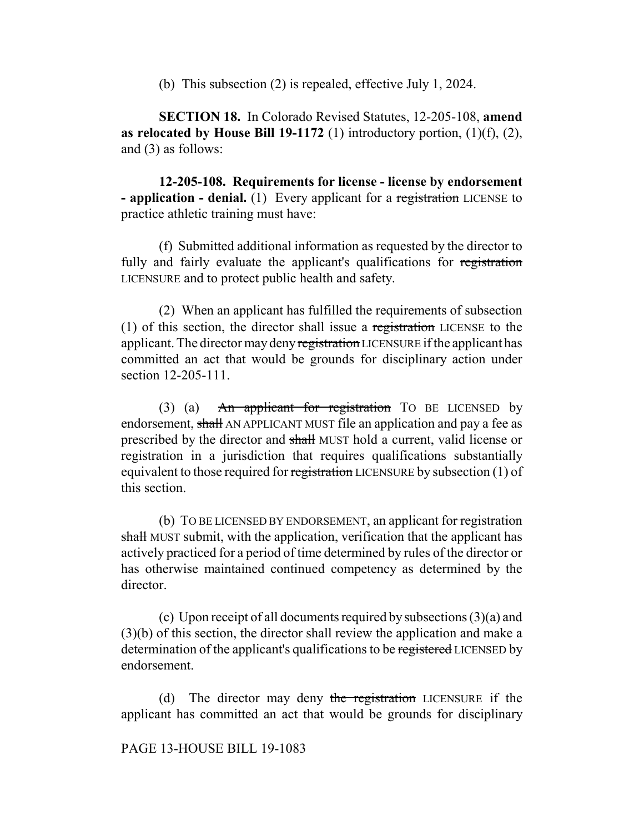(b) This subsection (2) is repealed, effective July 1, 2024.

**SECTION 18.** In Colorado Revised Statutes, 12-205-108, **amend as relocated by House Bill 19-1172** (1) introductory portion,  $(1)(f)$ ,  $(2)$ , and (3) as follows:

**12-205-108. Requirements for license - license by endorsement - application - denial.** (1) Every applicant for a registration LICENSE to practice athletic training must have:

(f) Submitted additional information as requested by the director to fully and fairly evaluate the applicant's qualifications for registration LICENSURE and to protect public health and safety.

(2) When an applicant has fulfilled the requirements of subsection (1) of this section, the director shall issue a registration LICENSE to the applicant. The director may deny registration LICENSURE if the applicant has committed an act that would be grounds for disciplinary action under section 12-205-111.

(3) (a) An applicant for registration TO BE LICENSED by endorsement, shall AN APPLICANT MUST file an application and pay a fee as prescribed by the director and shall MUST hold a current, valid license or registration in a jurisdiction that requires qualifications substantially equivalent to those required for registration LICENSURE by subsection (1) of this section.

(b) TO BE LICENSED BY ENDORSEMENT, an applicant for registration shall MUST submit, with the application, verification that the applicant has actively practiced for a period of time determined by rules of the director or has otherwise maintained continued competency as determined by the director.

(c) Upon receipt of all documents required by subsections (3)(a) and (3)(b) of this section, the director shall review the application and make a determination of the applicant's qualifications to be registered LICENSED by endorsement.

(d) The director may deny the registration LICENSURE if the applicant has committed an act that would be grounds for disciplinary

## PAGE 13-HOUSE BILL 19-1083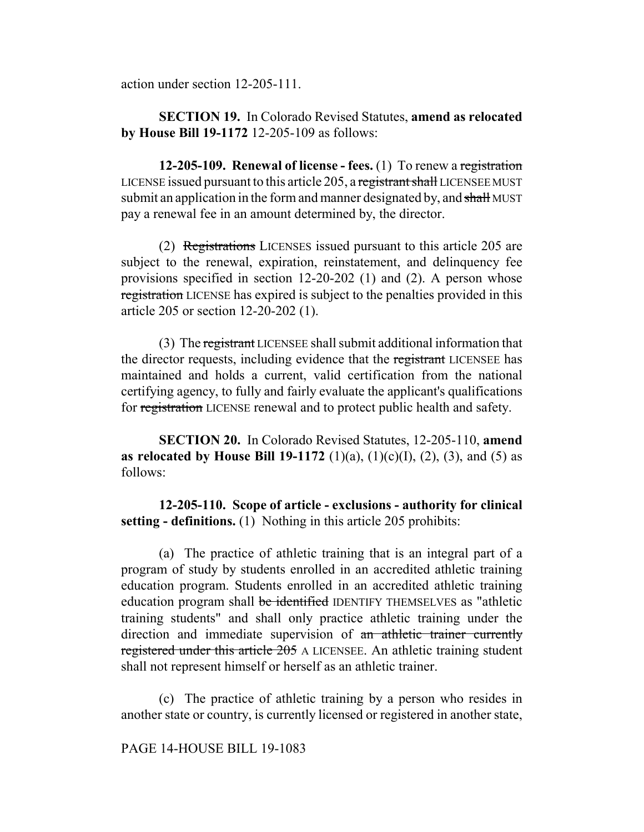action under section 12-205-111.

**SECTION 19.** In Colorado Revised Statutes, **amend as relocated by House Bill 19-1172** 12-205-109 as follows:

**12-205-109. Renewal of license - fees.** (1) To renew a registration LICENSE issued pursuant to this article 205, a registrant shall LICENSEE MUST submit an application in the form and manner designated by, and shall MUST pay a renewal fee in an amount determined by, the director.

(2) Registrations LICENSES issued pursuant to this article 205 are subject to the renewal, expiration, reinstatement, and delinquency fee provisions specified in section 12-20-202 (1) and (2). A person whose registration LICENSE has expired is subject to the penalties provided in this article 205 or section 12-20-202 (1).

(3) The registrant LICENSEE shall submit additional information that the director requests, including evidence that the registrant LICENSEE has maintained and holds a current, valid certification from the national certifying agency, to fully and fairly evaluate the applicant's qualifications for registration LICENSE renewal and to protect public health and safety.

**SECTION 20.** In Colorado Revised Statutes, 12-205-110, **amend as relocated by House Bill 19-1172** (1)(a), (1)(c)(I), (2), (3), and (5) as follows:

**12-205-110. Scope of article - exclusions - authority for clinical setting - definitions.** (1) Nothing in this article 205 prohibits:

(a) The practice of athletic training that is an integral part of a program of study by students enrolled in an accredited athletic training education program. Students enrolled in an accredited athletic training education program shall be identified IDENTIFY THEMSELVES as "athletic training students" and shall only practice athletic training under the direction and immediate supervision of an athletic trainer currently registered under this article 205 A LICENSEE. An athletic training student shall not represent himself or herself as an athletic trainer.

(c) The practice of athletic training by a person who resides in another state or country, is currently licensed or registered in another state,

PAGE 14-HOUSE BILL 19-1083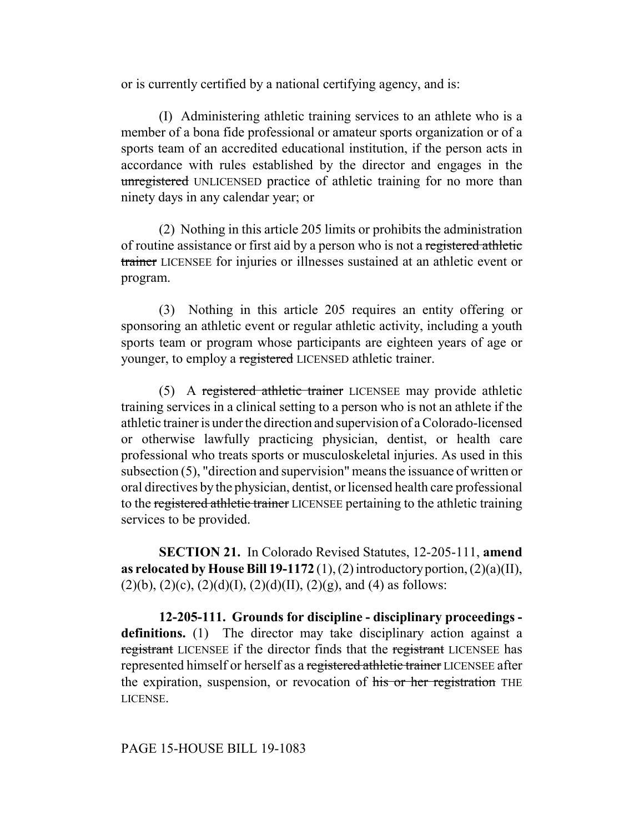or is currently certified by a national certifying agency, and is:

(I) Administering athletic training services to an athlete who is a member of a bona fide professional or amateur sports organization or of a sports team of an accredited educational institution, if the person acts in accordance with rules established by the director and engages in the unregistered UNLICENSED practice of athletic training for no more than ninety days in any calendar year; or

(2) Nothing in this article 205 limits or prohibits the administration of routine assistance or first aid by a person who is not a registered athletic trainer LICENSEE for injuries or illnesses sustained at an athletic event or program.

(3) Nothing in this article 205 requires an entity offering or sponsoring an athletic event or regular athletic activity, including a youth sports team or program whose participants are eighteen years of age or younger, to employ a registered LICENSED athletic trainer.

(5) A registered athletic trainer LICENSEE may provide athletic training services in a clinical setting to a person who is not an athlete if the athletic trainer is under the direction and supervision of a Colorado-licensed or otherwise lawfully practicing physician, dentist, or health care professional who treats sports or musculoskeletal injuries. As used in this subsection (5), "direction and supervision" means the issuance of written or oral directives by the physician, dentist, or licensed health care professional to the registered athletic trainer LICENSEE pertaining to the athletic training services to be provided.

**SECTION 21.** In Colorado Revised Statutes, 12-205-111, **amend as relocated by House Bill 19-1172** (1), (2) introductory portion, (2)(a)(II),  $(2)(b)$ ,  $(2)(c)$ ,  $(2)(d)(I)$ ,  $(2)(d)(II)$ ,  $(2)(g)$ , and  $(4)$  as follows:

**12-205-111. Grounds for discipline - disciplinary proceedings**  definitions. (1) The director may take disciplinary action against a registrant LICENSEE if the director finds that the registrant LICENSEE has represented himself or herself as a registered athletic trainer LICENSEE after the expiration, suspension, or revocation of his or her registration THE LICENSE.

# PAGE 15-HOUSE BILL 19-1083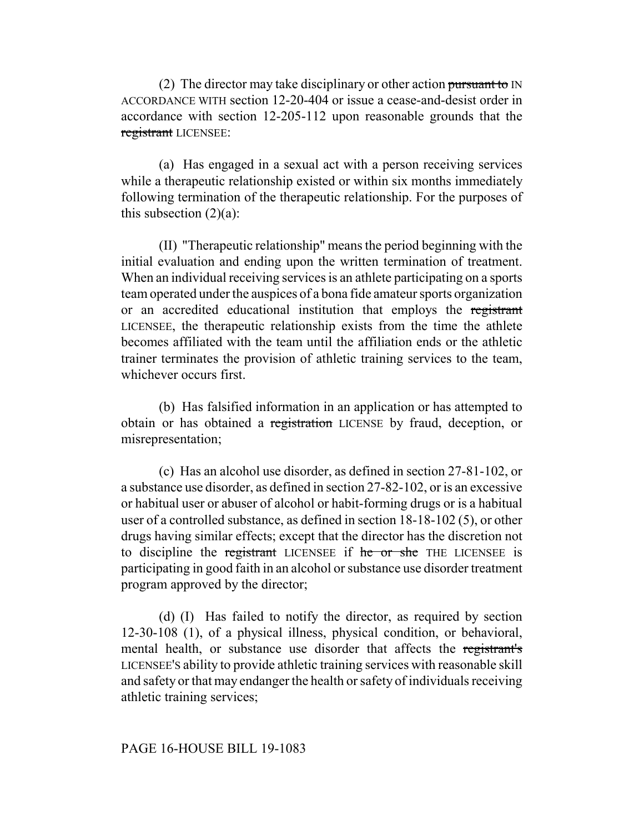(2) The director may take disciplinary or other action pursuant to  $IN$ ACCORDANCE WITH section 12-20-404 or issue a cease-and-desist order in accordance with section 12-205-112 upon reasonable grounds that the registrant LICENSEE:

(a) Has engaged in a sexual act with a person receiving services while a therapeutic relationship existed or within six months immediately following termination of the therapeutic relationship. For the purposes of this subsection  $(2)(a)$ :

(II) "Therapeutic relationship" means the period beginning with the initial evaluation and ending upon the written termination of treatment. When an individual receiving services is an athlete participating on a sports team operated under the auspices of a bona fide amateur sports organization or an accredited educational institution that employs the registrant LICENSEE, the therapeutic relationship exists from the time the athlete becomes affiliated with the team until the affiliation ends or the athletic trainer terminates the provision of athletic training services to the team, whichever occurs first.

(b) Has falsified information in an application or has attempted to obtain or has obtained a registration LICENSE by fraud, deception, or misrepresentation;

(c) Has an alcohol use disorder, as defined in section 27-81-102, or a substance use disorder, as defined in section 27-82-102, or is an excessive or habitual user or abuser of alcohol or habit-forming drugs or is a habitual user of a controlled substance, as defined in section 18-18-102 (5), or other drugs having similar effects; except that the director has the discretion not to discipline the registrant LICENSEE if he or she THE LICENSEE is participating in good faith in an alcohol or substance use disorder treatment program approved by the director;

(d) (I) Has failed to notify the director, as required by section 12-30-108 (1), of a physical illness, physical condition, or behavioral, mental health, or substance use disorder that affects the registrant's LICENSEE'S ability to provide athletic training services with reasonable skill and safety or that may endanger the health or safety of individuals receiving athletic training services;

### PAGE 16-HOUSE BILL 19-1083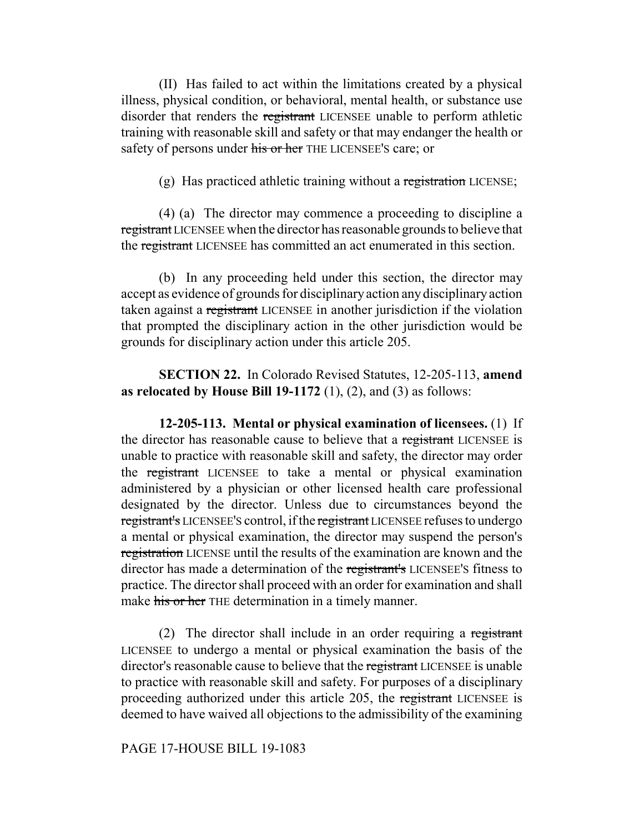(II) Has failed to act within the limitations created by a physical illness, physical condition, or behavioral, mental health, or substance use disorder that renders the registrant LICENSEE unable to perform athletic training with reasonable skill and safety or that may endanger the health or safety of persons under his or her THE LICENSEE's care; or

(g) Has practiced athletic training without a registration LICENSE;

(4) (a) The director may commence a proceeding to discipline a registrant LICENSEE when the director has reasonable grounds to believe that the registrant LICENSEE has committed an act enumerated in this section.

(b) In any proceeding held under this section, the director may accept as evidence of grounds for disciplinary action any disciplinary action taken against a registrant LICENSEE in another jurisdiction if the violation that prompted the disciplinary action in the other jurisdiction would be grounds for disciplinary action under this article 205.

**SECTION 22.** In Colorado Revised Statutes, 12-205-113, **amend as relocated by House Bill 19-1172** (1), (2), and (3) as follows:

**12-205-113. Mental or physical examination of licensees.** (1) If the director has reasonable cause to believe that a registrant LICENSEE is unable to practice with reasonable skill and safety, the director may order the registrant LICENSEE to take a mental or physical examination administered by a physician or other licensed health care professional designated by the director. Unless due to circumstances beyond the registrant's LICENSEE'S control, if the registrant LICENSEE refuses to undergo a mental or physical examination, the director may suspend the person's registration LICENSE until the results of the examination are known and the director has made a determination of the registrant's LICENSEE'S fitness to practice. The director shall proceed with an order for examination and shall make his or her THE determination in a timely manner.

(2) The director shall include in an order requiring a registrant LICENSEE to undergo a mental or physical examination the basis of the director's reasonable cause to believe that the registrant LICENSEE is unable to practice with reasonable skill and safety. For purposes of a disciplinary proceeding authorized under this article 205, the registrant LICENSEE is deemed to have waived all objections to the admissibility of the examining

PAGE 17-HOUSE BILL 19-1083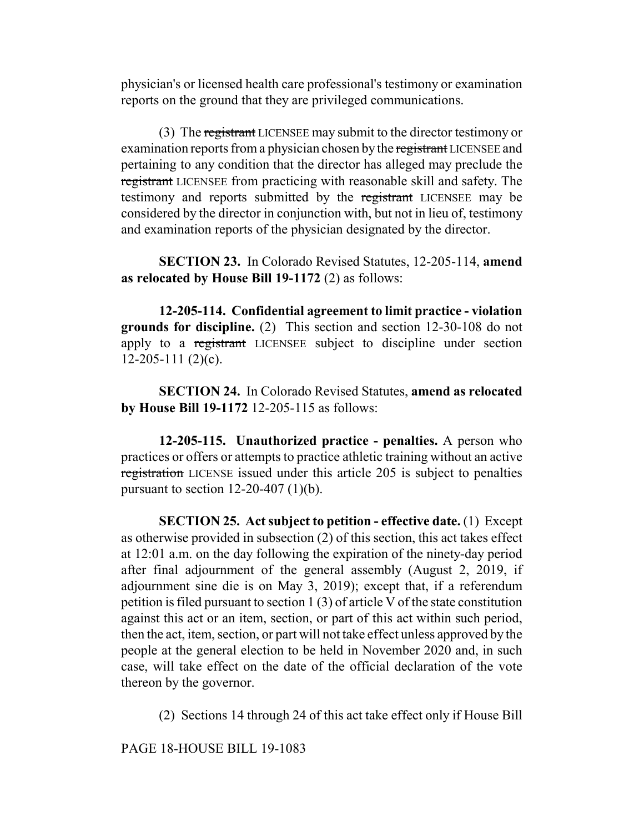physician's or licensed health care professional's testimony or examination reports on the ground that they are privileged communications.

(3) The registrant LICENSEE may submit to the director testimony or examination reports from a physician chosen by the registrant LICENSEE and pertaining to any condition that the director has alleged may preclude the registrant LICENSEE from practicing with reasonable skill and safety. The testimony and reports submitted by the registrant LICENSEE may be considered by the director in conjunction with, but not in lieu of, testimony and examination reports of the physician designated by the director.

**SECTION 23.** In Colorado Revised Statutes, 12-205-114, **amend as relocated by House Bill 19-1172** (2) as follows:

**12-205-114. Confidential agreement to limit practice - violation grounds for discipline.** (2) This section and section 12-30-108 do not apply to a registrant LICENSEE subject to discipline under section  $12-205-111(2)(c)$ .

**SECTION 24.** In Colorado Revised Statutes, **amend as relocated by House Bill 19-1172** 12-205-115 as follows:

**12-205-115. Unauthorized practice - penalties.** A person who practices or offers or attempts to practice athletic training without an active registration LICENSE issued under this article 205 is subject to penalties pursuant to section  $12-20-407$  (1)(b).

**SECTION 25. Act subject to petition - effective date.** (1) Except as otherwise provided in subsection (2) of this section, this act takes effect at 12:01 a.m. on the day following the expiration of the ninety-day period after final adjournment of the general assembly (August 2, 2019, if adjournment sine die is on May 3, 2019); except that, if a referendum petition is filed pursuant to section 1 (3) of article V of the state constitution against this act or an item, section, or part of this act within such period, then the act, item, section, or part will not take effect unless approved by the people at the general election to be held in November 2020 and, in such case, will take effect on the date of the official declaration of the vote thereon by the governor.

(2) Sections 14 through 24 of this act take effect only if House Bill

PAGE 18-HOUSE BILL 19-1083